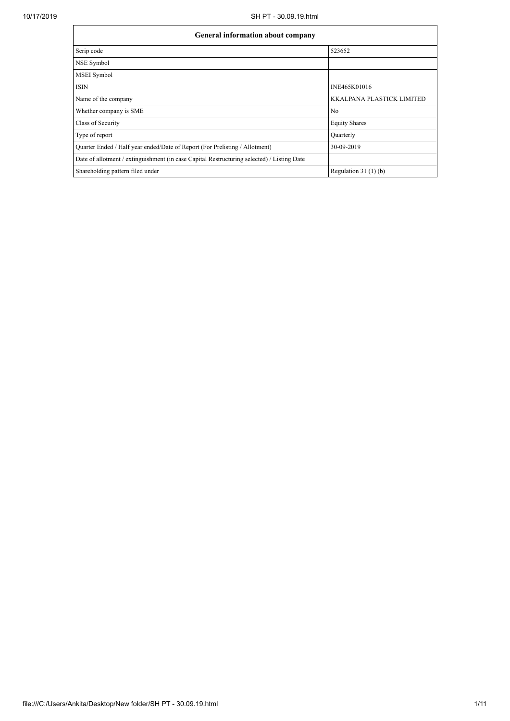| General information about company                                                          |                                  |  |  |  |  |  |  |  |
|--------------------------------------------------------------------------------------------|----------------------------------|--|--|--|--|--|--|--|
| Scrip code                                                                                 | 523652                           |  |  |  |  |  |  |  |
| NSE Symbol                                                                                 |                                  |  |  |  |  |  |  |  |
| <b>MSEI</b> Symbol                                                                         |                                  |  |  |  |  |  |  |  |
| <b>ISIN</b>                                                                                | INE465K01016                     |  |  |  |  |  |  |  |
| Name of the company                                                                        | <b>KKALPANA PLASTICK LIMITED</b> |  |  |  |  |  |  |  |
| Whether company is SME                                                                     | N <sub>o</sub>                   |  |  |  |  |  |  |  |
| Class of Security                                                                          | <b>Equity Shares</b>             |  |  |  |  |  |  |  |
| Type of report                                                                             | Quarterly                        |  |  |  |  |  |  |  |
| Quarter Ended / Half year ended/Date of Report (For Prelisting / Allotment)                | 30-09-2019                       |  |  |  |  |  |  |  |
| Date of allotment / extinguishment (in case Capital Restructuring selected) / Listing Date |                                  |  |  |  |  |  |  |  |
| Shareholding pattern filed under                                                           | Regulation $31(1)(b)$            |  |  |  |  |  |  |  |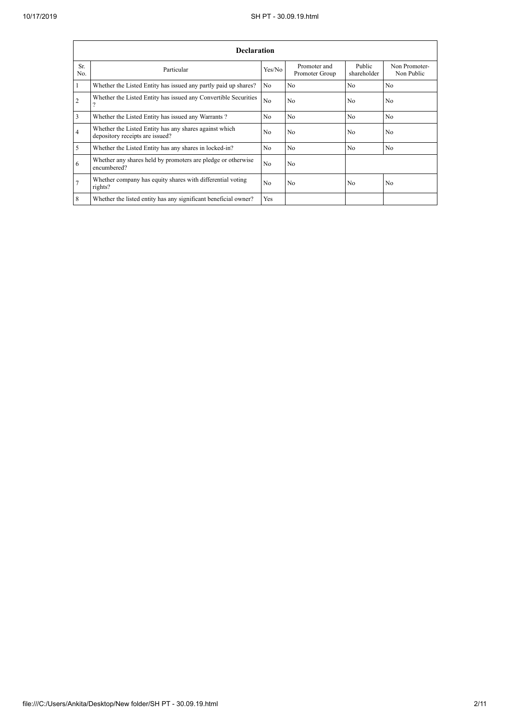|            | <b>Declaration</b>                                                                        |                |                                |                       |                             |  |  |  |  |  |  |  |
|------------|-------------------------------------------------------------------------------------------|----------------|--------------------------------|-----------------------|-----------------------------|--|--|--|--|--|--|--|
| Sr.<br>No. | Particular                                                                                | Yes/No         | Promoter and<br>Promoter Group | Public<br>shareholder | Non Promoter-<br>Non Public |  |  |  |  |  |  |  |
|            | Whether the Listed Entity has issued any partly paid up shares?                           | No.            | N <sub>0</sub>                 | N <sub>0</sub>        | N <sub>o</sub>              |  |  |  |  |  |  |  |
| 2          | Whether the Listed Entity has issued any Convertible Securities                           | N <sub>0</sub> | N <sub>o</sub>                 | N <sub>0</sub>        | N <sub>o</sub>              |  |  |  |  |  |  |  |
| 3          | Whether the Listed Entity has issued any Warrants?                                        | N <sub>0</sub> | N <sub>o</sub>                 | N <sub>0</sub>        | N <sub>o</sub>              |  |  |  |  |  |  |  |
| 4          | Whether the Listed Entity has any shares against which<br>depository receipts are issued? | N <sub>0</sub> | N <sub>o</sub>                 | N <sub>0</sub>        | N <sub>o</sub>              |  |  |  |  |  |  |  |
| 5          | Whether the Listed Entity has any shares in locked-in?                                    | N <sub>0</sub> | N <sub>0</sub>                 | N <sub>0</sub>        | N <sub>0</sub>              |  |  |  |  |  |  |  |
| 6          | Whether any shares held by promoters are pledge or otherwise<br>encumbered?               | N <sub>0</sub> | N <sub>o</sub>                 |                       |                             |  |  |  |  |  |  |  |
|            | Whether company has equity shares with differential voting<br>rights?                     | N <sub>0</sub> | No                             | N <sub>0</sub>        | No                          |  |  |  |  |  |  |  |
| 8          | Whether the listed entity has any significant beneficial owner?                           | Yes            |                                |                       |                             |  |  |  |  |  |  |  |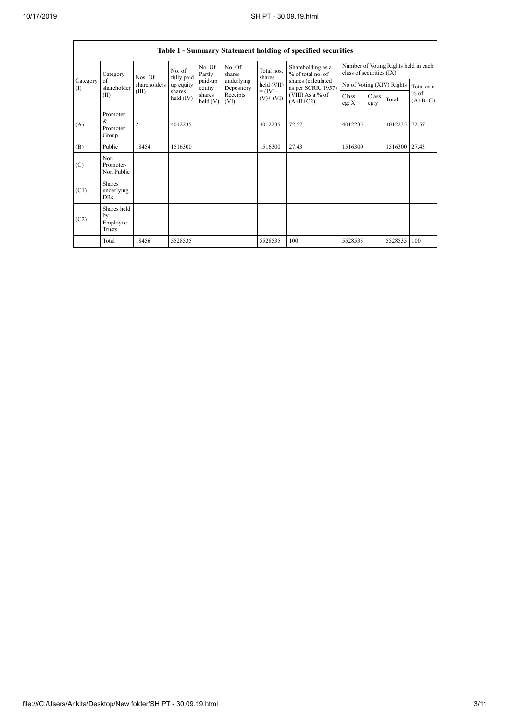|                          |                                           |              |                       |                    |                          |                                                                      | Table I - Summary Statement holding of specified securities                                                          |                                                                  |               |                           |                     |
|--------------------------|-------------------------------------------|--------------|-----------------------|--------------------|--------------------------|----------------------------------------------------------------------|----------------------------------------------------------------------------------------------------------------------|------------------------------------------------------------------|---------------|---------------------------|---------------------|
|                          | Category                                  | Nos. Of      | No. of<br>fully paid  | No. Of<br>Partly   | No. Of<br>shares         | Total nos.<br>shares<br>$held$ (VII)<br>$= (IV) +$<br>$(V)$ + $(VI)$ | Shareholding as a<br>% of total no. of<br>shares (calculated<br>as per SCRR, 1957)<br>(VIII) As a % of<br>$(A+B+C2)$ | Number of Voting Rights held in each<br>class of securities (IX) |               |                           |                     |
| Category<br>$($ $\Gamma$ | of<br>shareholder                         | shareholders | up equity             | paid-up<br>equity  | underlying<br>Depository |                                                                      |                                                                                                                      |                                                                  |               | No of Voting (XIV) Rights | Total as a          |
|                          | (II)                                      | (III)        | shares<br>held $(IV)$ | shares<br>held (V) | Receipts<br>(VI)         |                                                                      |                                                                                                                      | Class<br>eg: $X$                                                 | Class<br>eg:y | Total                     | $%$ of<br>$(A+B+C)$ |
| (A)                      | Promoter<br>&<br>Promoter<br>Group        | 2            | 4012235               |                    |                          | 4012235                                                              | 72.57                                                                                                                | 4012235                                                          |               | 4012235                   | 72.57               |
| (B)                      | Public                                    | 18454        | 1516300               |                    |                          | 1516300                                                              | 27.43                                                                                                                | 1516300                                                          |               | 1516300                   | 27.43               |
| (C)                      | Non<br>Promoter-<br>Non Public            |              |                       |                    |                          |                                                                      |                                                                                                                      |                                                                  |               |                           |                     |
| (C1)                     | <b>Shares</b><br>underlying<br><b>DRs</b> |              |                       |                    |                          |                                                                      |                                                                                                                      |                                                                  |               |                           |                     |
| (C2)                     | Shares held<br>by<br>Employee<br>Trusts   |              |                       |                    |                          |                                                                      |                                                                                                                      |                                                                  |               |                           |                     |
|                          | Total                                     | 18456        | 5528535               |                    |                          | 5528535                                                              | 100                                                                                                                  | 5528535                                                          |               | 5528535                   | 100                 |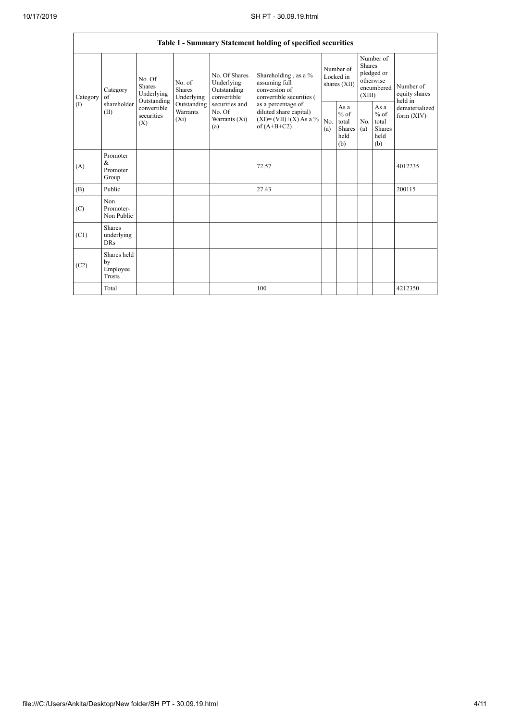|                    |                                         |                                                                                   |                                                                      |                                                                                                               | Table I - Summary Statement holding of specified securities                                                                                                                    |                                        |                                                  |                                                                               |                                                  |                                       |
|--------------------|-----------------------------------------|-----------------------------------------------------------------------------------|----------------------------------------------------------------------|---------------------------------------------------------------------------------------------------------------|--------------------------------------------------------------------------------------------------------------------------------------------------------------------------------|----------------------------------------|--------------------------------------------------|-------------------------------------------------------------------------------|--------------------------------------------------|---------------------------------------|
| Category<br>$($ I) | Category<br>of<br>shareholder<br>(II)   | No. Of<br>Shares<br>Underlying<br>Outstanding<br>convertible<br>securities<br>(X) | No. of<br>Shares<br>Underlying<br>Outstanding<br>Warrants<br>$(X_i)$ | No. Of Shares<br>Underlying<br>Outstanding<br>convertible<br>securities and<br>No. Of<br>Warrants (Xi)<br>(a) | Shareholding, as a %<br>assuming full<br>conversion of<br>convertible securities (<br>as a percentage of<br>diluted share capital)<br>$(XI)=(VII)+(X) As a %$<br>of $(A+B+C2)$ | Number of<br>Locked in<br>shares (XII) |                                                  | Number of<br><b>Shares</b><br>pledged or<br>otherwise<br>encumbered<br>(XIII) |                                                  | Number of<br>equity shares<br>held in |
|                    |                                         |                                                                                   |                                                                      |                                                                                                               |                                                                                                                                                                                | No.<br>(a)                             | As a<br>$%$ of<br>total<br>Shares<br>held<br>(b) | No.<br>(a)                                                                    | As a<br>$%$ of<br>total<br>Shares<br>held<br>(b) | dematerialized<br>form (XIV)          |
| (A)                | Promoter<br>&<br>Promoter<br>Group      |                                                                                   |                                                                      |                                                                                                               | 72.57                                                                                                                                                                          |                                        |                                                  |                                                                               |                                                  | 4012235                               |
| (B)                | Public                                  |                                                                                   |                                                                      |                                                                                                               | 27.43                                                                                                                                                                          |                                        |                                                  |                                                                               |                                                  | 200115                                |
| (C)                | Non<br>Promoter-<br>Non Public          |                                                                                   |                                                                      |                                                                                                               |                                                                                                                                                                                |                                        |                                                  |                                                                               |                                                  |                                       |
| (C1)               | Shares<br>underlying<br><b>DRs</b>      |                                                                                   |                                                                      |                                                                                                               |                                                                                                                                                                                |                                        |                                                  |                                                                               |                                                  |                                       |
| (C2)               | Shares held<br>by<br>Employee<br>Trusts |                                                                                   |                                                                      |                                                                                                               |                                                                                                                                                                                |                                        |                                                  |                                                                               |                                                  |                                       |
|                    | Total                                   |                                                                                   |                                                                      |                                                                                                               | 100                                                                                                                                                                            |                                        |                                                  |                                                                               |                                                  | 4212350                               |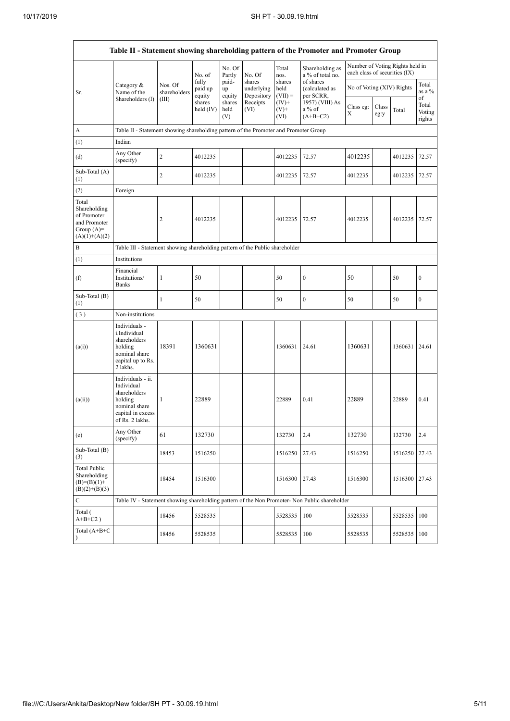$\mathbf{r}$ 

|                                                                                         |                                                                                                                     |                         |                            |                       |                                    |                             | Table II - Statement showing shareholding pattern of the Promoter and Promoter Group          |                                                                  |               |               |                           |  |
|-----------------------------------------------------------------------------------------|---------------------------------------------------------------------------------------------------------------------|-------------------------|----------------------------|-----------------------|------------------------------------|-----------------------------|-----------------------------------------------------------------------------------------------|------------------------------------------------------------------|---------------|---------------|---------------------------|--|
|                                                                                         |                                                                                                                     |                         | No. of                     | No. Of<br>Partly      | No. Of                             | Total<br>nos.               | Shareholding as<br>a % of total no.                                                           | Number of Voting Rights held in<br>each class of securities (IX) |               |               |                           |  |
| Sr.                                                                                     | Category &<br>Name of the                                                                                           | Nos. Of<br>shareholders | fully<br>paid up<br>equity | paid-<br>up<br>equity | shares<br>underlying<br>Depository | shares<br>held<br>$(VII) =$ | of shares<br>(calculated as<br>per SCRR,                                                      | No of Voting (XIV) Rights                                        |               |               | Total<br>as a %<br>of     |  |
|                                                                                         | Shareholders (I)                                                                                                    | (III)                   | shares<br>held $(IV)$      | shares<br>held<br>(V) | Receipts<br>(VI)                   | $(IV)^+$<br>$(V)$ +<br>(VI) | 1957) (VIII) As<br>a % of<br>$(A+B+C2)$                                                       | Class eg:<br>X                                                   | Class<br>eg:y | Total         | Total<br>Voting<br>rights |  |
| A                                                                                       | Table II - Statement showing shareholding pattern of the Promoter and Promoter Group                                |                         |                            |                       |                                    |                             |                                                                                               |                                                                  |               |               |                           |  |
| (1)                                                                                     | Indian                                                                                                              |                         |                            |                       |                                    |                             |                                                                                               |                                                                  |               |               |                           |  |
| (d)                                                                                     | Any Other<br>(specify)                                                                                              | $\overline{c}$          | 4012235                    |                       |                                    | 4012235                     | 72.57                                                                                         | 4012235                                                          |               | 4012235       | 72.57                     |  |
| Sub-Total (A)<br>(1)                                                                    |                                                                                                                     | $\overline{c}$          | 4012235                    |                       |                                    | 4012235                     | 72.57                                                                                         | 4012235                                                          |               | 4012235       | 72.57                     |  |
| (2)                                                                                     | Foreign                                                                                                             |                         |                            |                       |                                    |                             |                                                                                               |                                                                  |               |               |                           |  |
| Total<br>Shareholding<br>of Promoter<br>and Promoter<br>Group $(A)=$<br>$(A)(1)+(A)(2)$ |                                                                                                                     | 2                       | 4012235                    |                       |                                    | 4012235                     | 72.57                                                                                         | 4012235                                                          |               | 4012235       | 72.57                     |  |
| B                                                                                       | Table III - Statement showing shareholding pattern of the Public shareholder                                        |                         |                            |                       |                                    |                             |                                                                                               |                                                                  |               |               |                           |  |
| (1)                                                                                     | Institutions                                                                                                        |                         |                            |                       |                                    |                             |                                                                                               |                                                                  |               |               |                           |  |
| (f)                                                                                     | Financial<br>Institutions/<br><b>Banks</b>                                                                          | $\mathbf{1}$            | 50                         |                       |                                    | 50                          | $\boldsymbol{0}$                                                                              | 50                                                               |               | 50            | $\boldsymbol{0}$          |  |
| Sub-Total $(B)$<br>(1)                                                                  |                                                                                                                     | $\mathbf{1}$            | 50                         |                       |                                    | 50                          | $\mathbf{0}$                                                                                  | 50                                                               |               | 50            | $\boldsymbol{0}$          |  |
| (3)                                                                                     | Non-institutions                                                                                                    |                         |                            |                       |                                    |                             |                                                                                               |                                                                  |               |               |                           |  |
| (a(i))                                                                                  | Individuals -<br>i.Individual<br>shareholders<br>holding<br>nominal share<br>capital up to Rs.<br>2 lakhs.          | 18391                   | 1360631                    |                       |                                    | 1360631                     | 24.61                                                                                         | 1360631                                                          |               | 1360631 24.61 |                           |  |
| (a(ii))                                                                                 | Individuals - ii.<br>Individual<br>shareholders<br>holding<br>nominal share<br>capital in excess<br>of Rs. 2 lakhs. | 1                       | 22889                      |                       |                                    | 22889                       | 0.41                                                                                          | 22889                                                            |               | 22889         | 0.41                      |  |
| (e)                                                                                     | Any Other<br>(specify)                                                                                              | 61                      | 132730                     |                       |                                    | 132730                      | 2.4                                                                                           | 132730                                                           |               | 132730        | 2.4                       |  |
| Sub-Total (B)<br>(3)                                                                    |                                                                                                                     | 18453                   | 1516250                    |                       |                                    | 1516250                     | 27.43                                                                                         | 1516250                                                          |               | 1516250       | 27.43                     |  |
| Total Public<br>Shareholding<br>$(B)=(B)(1)+$<br>$(B)(2)+(B)(3)$                        |                                                                                                                     | 18454                   | 1516300                    |                       |                                    | 1516300                     | 27.43                                                                                         | 1516300                                                          |               | 1516300       | 27.43                     |  |
| $\mathbf C$                                                                             |                                                                                                                     |                         |                            |                       |                                    |                             | Table IV - Statement showing shareholding pattern of the Non Promoter- Non Public shareholder |                                                                  |               |               |                           |  |
| Total (<br>$A+B+C2$ )                                                                   |                                                                                                                     | 18456                   | 5528535                    |                       |                                    | 5528535                     | 100                                                                                           | 5528535                                                          |               | 5528535       | 100                       |  |
| Total $(A+B+C)$<br>$\lambda$                                                            |                                                                                                                     | 18456                   | 5528535                    |                       |                                    | 5528535                     | 100                                                                                           | 5528535                                                          |               | 5528535       | 100                       |  |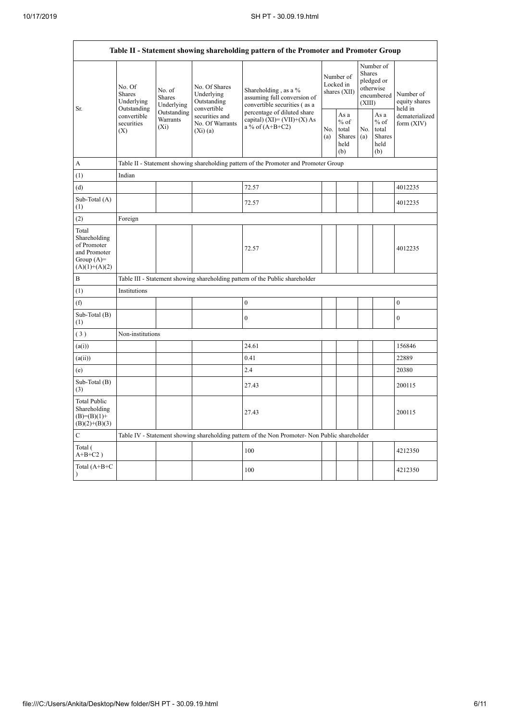$\mathbf{r}$ 

h

|                                                                                         | Table II - Statement showing shareholding pattern of the Promoter and Promoter Group<br>Number of<br>Shares<br>Number of<br>pledged or<br>Locked in<br>No. Of Shares<br>No. Of<br>otherwise<br>No. of<br>Shareholding, as a %<br>shares (XII)<br><b>Shares</b><br>Underlying<br>Number of<br>encumbered<br>assuming full conversion of<br>Shares<br>Outstanding<br>Underlying<br>equity shares<br>(XIII)<br>convertible securities (as a<br>Underlying<br>convertible<br>held in<br>Outstanding<br>Outstanding<br>percentage of diluted share<br>As a<br>As $\mathbf a$<br>convertible<br>securities and<br>dematerialized<br>Warrants<br>capital) $(XI) = (VII)+(X) As$<br>$%$ of<br>$%$ of<br>securities<br>No. Of Warrants<br>form $(XIV)$<br>a % of $(A+B+C2)$<br>$(X_i)$<br>No.<br>No.<br>total<br>total<br>(X)<br>$(Xi)$ (a)<br>Shares<br>(a)<br><b>Shares</b><br>(a)<br>held<br>held<br>(b)<br>(b)<br>Table II - Statement showing shareholding pattern of the Promoter and Promoter Group<br>Indian<br>72.57<br>4012235<br>72.57<br>4012235<br>Foreign<br>72.57<br>4012235<br>Table III - Statement showing shareholding pattern of the Public shareholder<br>Institutions<br>$\boldsymbol{0}$<br>$\boldsymbol{0}$<br>$\mathbf{0}$<br>$\mathbf{0}$<br>Non-institutions<br>24.61<br>156846<br>22889<br>0.41<br>2.4<br>20380<br>27.43<br>200115 |                                                                                                                  |  |     |  |  |  |  |         |  |  |  |  |
|-----------------------------------------------------------------------------------------|-------------------------------------------------------------------------------------------------------------------------------------------------------------------------------------------------------------------------------------------------------------------------------------------------------------------------------------------------------------------------------------------------------------------------------------------------------------------------------------------------------------------------------------------------------------------------------------------------------------------------------------------------------------------------------------------------------------------------------------------------------------------------------------------------------------------------------------------------------------------------------------------------------------------------------------------------------------------------------------------------------------------------------------------------------------------------------------------------------------------------------------------------------------------------------------------------------------------------------------------------------------------------------------------------------------------------------------------------------|------------------------------------------------------------------------------------------------------------------|--|-----|--|--|--|--|---------|--|--|--|--|
| Sr.                                                                                     |                                                                                                                                                                                                                                                                                                                                                                                                                                                                                                                                                                                                                                                                                                                                                                                                                                                                                                                                                                                                                                                                                                                                                                                                                                                                                                                                                       |                                                                                                                  |  |     |  |  |  |  |         |  |  |  |  |
|                                                                                         |                                                                                                                                                                                                                                                                                                                                                                                                                                                                                                                                                                                                                                                                                                                                                                                                                                                                                                                                                                                                                                                                                                                                                                                                                                                                                                                                                       |                                                                                                                  |  |     |  |  |  |  |         |  |  |  |  |
| A                                                                                       |                                                                                                                                                                                                                                                                                                                                                                                                                                                                                                                                                                                                                                                                                                                                                                                                                                                                                                                                                                                                                                                                                                                                                                                                                                                                                                                                                       | 27.43<br>200115<br>Table IV - Statement showing shareholding pattern of the Non Promoter- Non Public shareholder |  |     |  |  |  |  |         |  |  |  |  |
| (1)                                                                                     |                                                                                                                                                                                                                                                                                                                                                                                                                                                                                                                                                                                                                                                                                                                                                                                                                                                                                                                                                                                                                                                                                                                                                                                                                                                                                                                                                       |                                                                                                                  |  |     |  |  |  |  |         |  |  |  |  |
| (d)                                                                                     |                                                                                                                                                                                                                                                                                                                                                                                                                                                                                                                                                                                                                                                                                                                                                                                                                                                                                                                                                                                                                                                                                                                                                                                                                                                                                                                                                       |                                                                                                                  |  |     |  |  |  |  |         |  |  |  |  |
| Sub-Total (A)<br>(1)                                                                    |                                                                                                                                                                                                                                                                                                                                                                                                                                                                                                                                                                                                                                                                                                                                                                                                                                                                                                                                                                                                                                                                                                                                                                                                                                                                                                                                                       |                                                                                                                  |  |     |  |  |  |  |         |  |  |  |  |
| (2)                                                                                     |                                                                                                                                                                                                                                                                                                                                                                                                                                                                                                                                                                                                                                                                                                                                                                                                                                                                                                                                                                                                                                                                                                                                                                                                                                                                                                                                                       |                                                                                                                  |  |     |  |  |  |  |         |  |  |  |  |
| Total<br>Shareholding<br>of Promoter<br>and Promoter<br>Group $(A)=$<br>$(A)(1)+(A)(2)$ |                                                                                                                                                                                                                                                                                                                                                                                                                                                                                                                                                                                                                                                                                                                                                                                                                                                                                                                                                                                                                                                                                                                                                                                                                                                                                                                                                       |                                                                                                                  |  |     |  |  |  |  |         |  |  |  |  |
| B                                                                                       |                                                                                                                                                                                                                                                                                                                                                                                                                                                                                                                                                                                                                                                                                                                                                                                                                                                                                                                                                                                                                                                                                                                                                                                                                                                                                                                                                       |                                                                                                                  |  |     |  |  |  |  |         |  |  |  |  |
| (1)                                                                                     |                                                                                                                                                                                                                                                                                                                                                                                                                                                                                                                                                                                                                                                                                                                                                                                                                                                                                                                                                                                                                                                                                                                                                                                                                                                                                                                                                       |                                                                                                                  |  |     |  |  |  |  |         |  |  |  |  |
| (f)                                                                                     |                                                                                                                                                                                                                                                                                                                                                                                                                                                                                                                                                                                                                                                                                                                                                                                                                                                                                                                                                                                                                                                                                                                                                                                                                                                                                                                                                       |                                                                                                                  |  |     |  |  |  |  |         |  |  |  |  |
| Sub-Total (B)<br>(1)                                                                    |                                                                                                                                                                                                                                                                                                                                                                                                                                                                                                                                                                                                                                                                                                                                                                                                                                                                                                                                                                                                                                                                                                                                                                                                                                                                                                                                                       |                                                                                                                  |  |     |  |  |  |  |         |  |  |  |  |
| (3)                                                                                     |                                                                                                                                                                                                                                                                                                                                                                                                                                                                                                                                                                                                                                                                                                                                                                                                                                                                                                                                                                                                                                                                                                                                                                                                                                                                                                                                                       |                                                                                                                  |  |     |  |  |  |  |         |  |  |  |  |
| (a(i))                                                                                  |                                                                                                                                                                                                                                                                                                                                                                                                                                                                                                                                                                                                                                                                                                                                                                                                                                                                                                                                                                                                                                                                                                                                                                                                                                                                                                                                                       |                                                                                                                  |  |     |  |  |  |  |         |  |  |  |  |
| (a(ii))                                                                                 |                                                                                                                                                                                                                                                                                                                                                                                                                                                                                                                                                                                                                                                                                                                                                                                                                                                                                                                                                                                                                                                                                                                                                                                                                                                                                                                                                       |                                                                                                                  |  |     |  |  |  |  |         |  |  |  |  |
| (e)                                                                                     |                                                                                                                                                                                                                                                                                                                                                                                                                                                                                                                                                                                                                                                                                                                                                                                                                                                                                                                                                                                                                                                                                                                                                                                                                                                                                                                                                       |                                                                                                                  |  |     |  |  |  |  |         |  |  |  |  |
| Sub-Total (B)<br>(3)                                                                    |                                                                                                                                                                                                                                                                                                                                                                                                                                                                                                                                                                                                                                                                                                                                                                                                                                                                                                                                                                                                                                                                                                                                                                                                                                                                                                                                                       |                                                                                                                  |  |     |  |  |  |  |         |  |  |  |  |
| <b>Total Public</b><br>Shareholding<br>$(B)= (B)(1) +$<br>$(B)(2)+(B)(3)$               |                                                                                                                                                                                                                                                                                                                                                                                                                                                                                                                                                                                                                                                                                                                                                                                                                                                                                                                                                                                                                                                                                                                                                                                                                                                                                                                                                       |                                                                                                                  |  |     |  |  |  |  |         |  |  |  |  |
| C                                                                                       |                                                                                                                                                                                                                                                                                                                                                                                                                                                                                                                                                                                                                                                                                                                                                                                                                                                                                                                                                                                                                                                                                                                                                                                                                                                                                                                                                       |                                                                                                                  |  |     |  |  |  |  |         |  |  |  |  |
| Total (<br>$A+B+C2$ )                                                                   |                                                                                                                                                                                                                                                                                                                                                                                                                                                                                                                                                                                                                                                                                                                                                                                                                                                                                                                                                                                                                                                                                                                                                                                                                                                                                                                                                       |                                                                                                                  |  | 100 |  |  |  |  | 4212350 |  |  |  |  |
| Total (A+B+C<br>$\mathcal{E}$                                                           |                                                                                                                                                                                                                                                                                                                                                                                                                                                                                                                                                                                                                                                                                                                                                                                                                                                                                                                                                                                                                                                                                                                                                                                                                                                                                                                                                       |                                                                                                                  |  | 100 |  |  |  |  | 4212350 |  |  |  |  |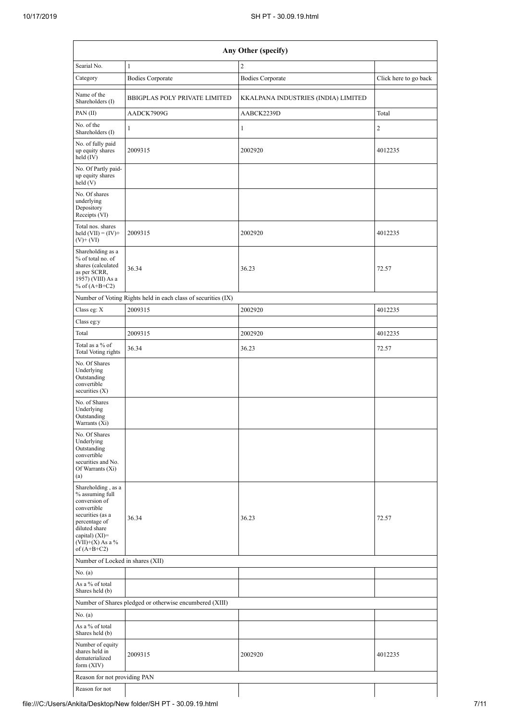| Any Other (specify)                                                                                                                                                                  |                                                               |                                     |                       |  |  |  |  |  |  |  |  |
|--------------------------------------------------------------------------------------------------------------------------------------------------------------------------------------|---------------------------------------------------------------|-------------------------------------|-----------------------|--|--|--|--|--|--|--|--|
| Searial No.                                                                                                                                                                          | $\mathbf{1}$                                                  | $\overline{2}$                      |                       |  |  |  |  |  |  |  |  |
| Category                                                                                                                                                                             | <b>Bodies Corporate</b>                                       | <b>Bodies Corporate</b>             | Click here to go back |  |  |  |  |  |  |  |  |
| Name of the<br>Shareholders (I)                                                                                                                                                      | <b>BBIGPLAS POLY PRIVATE LIMITED</b>                          | KKALPANA INDUSTRIES (INDIA) LIMITED |                       |  |  |  |  |  |  |  |  |
| PAN(II)                                                                                                                                                                              | AADCK7909G                                                    | AABCK2239D                          | Total                 |  |  |  |  |  |  |  |  |
| No. of the<br>Shareholders (I)                                                                                                                                                       | $\mathbf{1}$                                                  | $\mathbf{1}$                        | 2                     |  |  |  |  |  |  |  |  |
| No. of fully paid<br>up equity shares<br>held $(IV)$                                                                                                                                 | 2009315                                                       | 2002920                             | 4012235               |  |  |  |  |  |  |  |  |
| No. Of Partly paid-<br>up equity shares<br>held(V)                                                                                                                                   |                                                               |                                     |                       |  |  |  |  |  |  |  |  |
| No. Of shares<br>underlying<br>Depository<br>Receipts (VI)                                                                                                                           |                                                               |                                     |                       |  |  |  |  |  |  |  |  |
| Total nos. shares<br>held $(VII) = (IV) +$<br>$(V)$ + $(VI)$                                                                                                                         | 2009315                                                       | 2002920                             | 4012235               |  |  |  |  |  |  |  |  |
| Shareholding as a<br>% of total no. of<br>shares (calculated<br>as per SCRR,<br>1957) (VIII) As a<br>% of $(A+B+C2)$                                                                 | 36.34                                                         | 36.23                               | 72.57                 |  |  |  |  |  |  |  |  |
|                                                                                                                                                                                      | Number of Voting Rights held in each class of securities (IX) |                                     |                       |  |  |  |  |  |  |  |  |
| Class eg: X                                                                                                                                                                          | 2009315                                                       | 2002920                             | 4012235               |  |  |  |  |  |  |  |  |
| Class eg:y                                                                                                                                                                           |                                                               |                                     |                       |  |  |  |  |  |  |  |  |
| Total                                                                                                                                                                                | 2009315                                                       | 2002920                             | 4012235               |  |  |  |  |  |  |  |  |
| Total as a % of<br>Total Voting rights                                                                                                                                               | 36.34                                                         | 36.23                               | 72.57                 |  |  |  |  |  |  |  |  |
| No. Of Shares<br>Underlying<br>Outstanding<br>convertible<br>securities $(X)$                                                                                                        |                                                               |                                     |                       |  |  |  |  |  |  |  |  |
| No. of Shares<br>Underlying<br>Outstanding<br>Warrants (Xi)                                                                                                                          |                                                               |                                     |                       |  |  |  |  |  |  |  |  |
| No. Of Shares<br>Underlying<br>Outstanding<br>convertible<br>securities and No.<br>Of Warrants (Xi)<br>(a)                                                                           |                                                               |                                     |                       |  |  |  |  |  |  |  |  |
| Shareholding, as a<br>% assuming full<br>conversion of<br>convertible<br>securities (as a<br>percentage of<br>diluted share<br>capital) (XI)=<br>$(VII)+(X)$ As a %<br>of $(A+B+C2)$ | 36.34                                                         | 36.23                               | 72.57                 |  |  |  |  |  |  |  |  |
| Number of Locked in shares (XII)                                                                                                                                                     |                                                               |                                     |                       |  |  |  |  |  |  |  |  |
| No. (a)                                                                                                                                                                              |                                                               |                                     |                       |  |  |  |  |  |  |  |  |
| As a % of total<br>Shares held (b)                                                                                                                                                   |                                                               |                                     |                       |  |  |  |  |  |  |  |  |
|                                                                                                                                                                                      | Number of Shares pledged or otherwise encumbered (XIII)       |                                     |                       |  |  |  |  |  |  |  |  |
| No. (a)                                                                                                                                                                              |                                                               |                                     |                       |  |  |  |  |  |  |  |  |
| As a % of total<br>Shares held (b)                                                                                                                                                   |                                                               |                                     |                       |  |  |  |  |  |  |  |  |
| Number of equity<br>shares held in<br>dematerialized<br>form $(XIV)$                                                                                                                 | 2009315                                                       | 2002920                             | 4012235               |  |  |  |  |  |  |  |  |
| Reason for not providing PAN                                                                                                                                                         |                                                               |                                     |                       |  |  |  |  |  |  |  |  |

Reason for not

 $\overline{\phantom{a}}$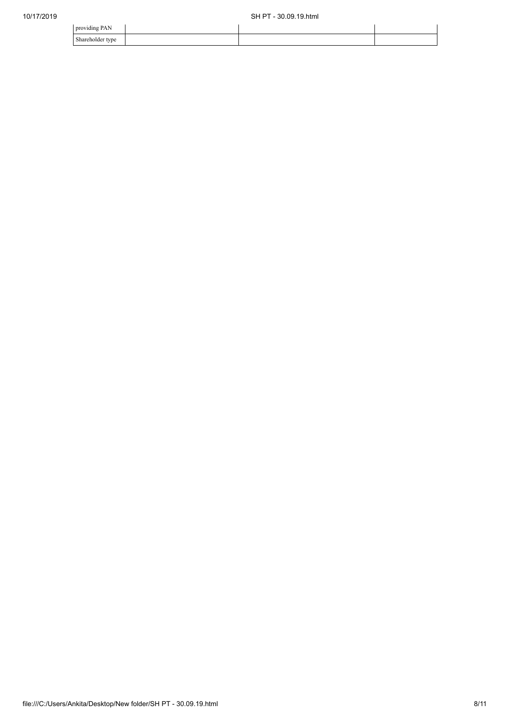| .<br>nrouudina PA                                    |  |  |
|------------------------------------------------------|--|--|
| $\sim$ 1<br>Shareholder<br>$\mathbf{m}$<br>υc<br>. . |  |  |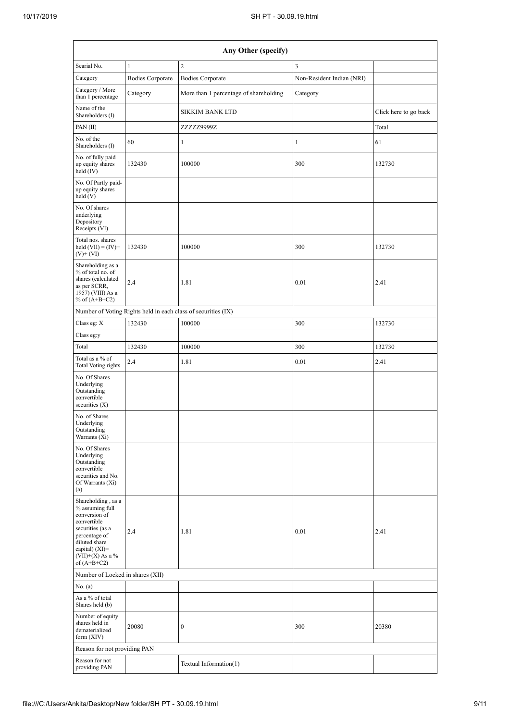|                                                                                                                                                                                        |                         | Any Other (specify)                                           |                           |                       |
|----------------------------------------------------------------------------------------------------------------------------------------------------------------------------------------|-------------------------|---------------------------------------------------------------|---------------------------|-----------------------|
| Searial No.                                                                                                                                                                            | $\mathbf{1}$            | $\mathfrak{2}$                                                | 3                         |                       |
| Category                                                                                                                                                                               | <b>Bodies Corporate</b> | <b>Bodies Corporate</b>                                       | Non-Resident Indian (NRI) |                       |
| Category / More<br>than 1 percentage                                                                                                                                                   | Category                | More than 1 percentage of shareholding                        | Category                  |                       |
| Name of the<br>Shareholders (I)                                                                                                                                                        |                         | <b>SIKKIM BANK LTD</b>                                        |                           | Click here to go back |
| PAN $(II)$                                                                                                                                                                             |                         | ZZZZZ9999Z                                                    |                           | Total                 |
| No. of the<br>Shareholders (I)                                                                                                                                                         | 60                      | $\mathbf{1}$                                                  | $\mathbf{1}$              | 61                    |
| No. of fully paid<br>up equity shares<br>held (IV)                                                                                                                                     | 132430                  | 100000                                                        | 300                       | 132730                |
| No. Of Partly paid-<br>up equity shares<br>held(V)                                                                                                                                     |                         |                                                               |                           |                       |
| No. Of shares<br>underlying<br>Depository<br>Receipts (VI)                                                                                                                             |                         |                                                               |                           |                       |
| Total nos. shares<br>held $(VII) = (IV) +$<br>$(V)$ + $(VI)$                                                                                                                           | 132430                  | 100000                                                        | 300                       | 132730                |
| Shareholding as a<br>% of total no. of<br>shares (calculated<br>as per SCRR,<br>1957) (VIII) As a<br>% of $(A+B+C2)$                                                                   | 2.4                     | 1.81                                                          | 0.01                      | 2.41                  |
|                                                                                                                                                                                        |                         | Number of Voting Rights held in each class of securities (IX) |                           |                       |
| Class eg: X                                                                                                                                                                            | 132430                  | 100000                                                        | 300                       | 132730                |
| Class eg:y                                                                                                                                                                             |                         |                                                               |                           |                       |
| Total                                                                                                                                                                                  | 132430                  | 100000                                                        | 300                       | 132730                |
| Total as a % of<br>Total Voting rights                                                                                                                                                 | 2.4                     | 1.81                                                          | 0.01                      | 2.41                  |
| No. Of Shares<br>Underlying<br>Outstanding<br>convertible<br>securities $(X)$                                                                                                          |                         |                                                               |                           |                       |
| No. of Shares<br>Underlying<br>Outstanding<br>Warrants (Xi)                                                                                                                            |                         |                                                               |                           |                       |
| No. Of Shares<br>Underlying<br>Outstanding<br>convertible<br>securities and No.<br>Of Warrants (Xi)<br>(a)                                                                             |                         |                                                               |                           |                       |
| Shareholding, as a<br>% assuming full<br>conversion of<br>convertible<br>securities (as a<br>percentage of<br>diluted share<br>capital) $(XI)=$<br>$(VII)+(X)$ As a %<br>of $(A+B+C2)$ | 2.4                     | 1.81                                                          | 0.01                      | 2.41                  |
| Number of Locked in shares (XII)                                                                                                                                                       |                         |                                                               |                           |                       |
| No. (a)                                                                                                                                                                                |                         |                                                               |                           |                       |
| As a % of total<br>Shares held (b)                                                                                                                                                     |                         |                                                               |                           |                       |
| Number of equity<br>shares held in<br>dematerialized<br>form (XIV)                                                                                                                     | 20080                   | 0                                                             | 300                       | 20380                 |
| Reason for not providing PAN                                                                                                                                                           |                         |                                                               |                           |                       |
| Reason for not<br>providing PAN                                                                                                                                                        |                         | Textual Information(1)                                        |                           |                       |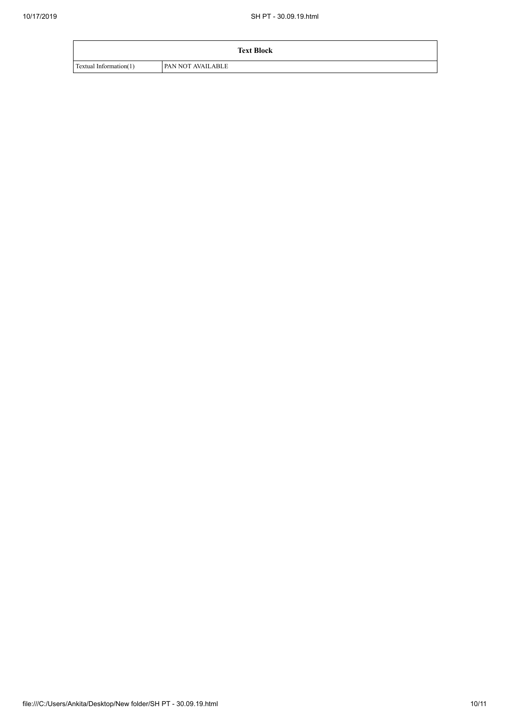|                        | <b>Text Block</b>        |
|------------------------|--------------------------|
| Textual Information(1) | <b>PAN NOT AVAILABLE</b> |